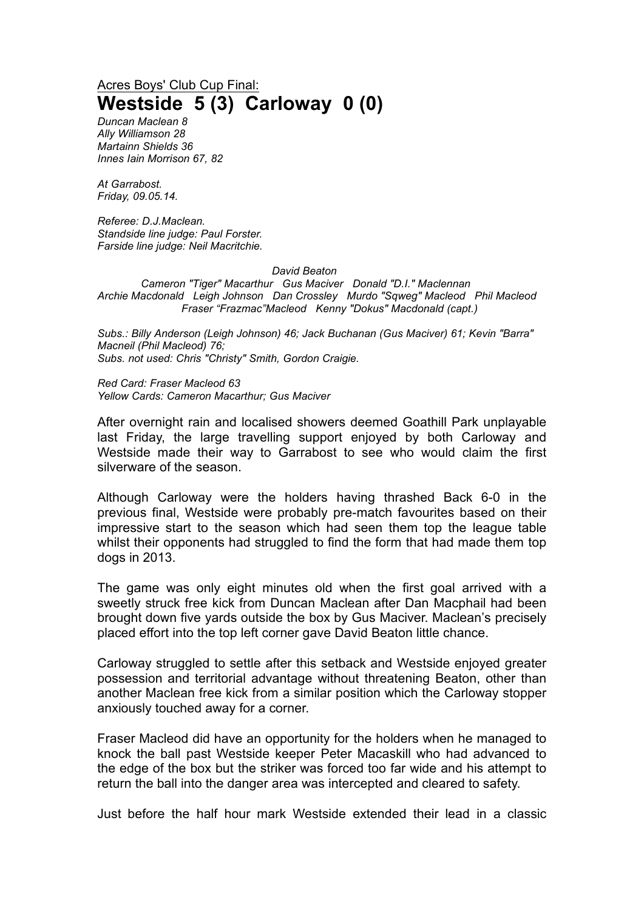## Acres Boys' Club Cup Final: **Westside 5 (3) Carloway 0 (0)**

*Duncan Maclean 8 Ally Williamson 28 Martainn Shields 36 Innes Iain Morrison 67, 82*

*At Garrabost. Friday, 09.05.14.*

*Referee: D.J.Maclean. Standside line judge: Paul Forster. Farside line judge: Neil Macritchie.*

## *David Beaton*

*Cameron "Tiger" Macarthur Gus Maciver Donald "D.I." Maclennan Archie Macdonald Leigh Johnson Dan Crossley Murdo "Sqweg" Macleod Phil Macleod Fraser "Frazmac"Macleod Kenny "Dokus" Macdonald (capt.)*

*Subs.: Billy Anderson (Leigh Johnson) 46; Jack Buchanan (Gus Maciver) 61; Kevin "Barra" Macneil (Phil Macleod) 76; Subs. not used: Chris "Christy" Smith, Gordon Craigie.*

*Red Card: Fraser Macleod 63 Yellow Cards: Cameron Macarthur; Gus Maciver*

After overnight rain and localised showers deemed Goathill Park unplayable last Friday, the large travelling support enjoyed by both Carloway and Westside made their way to Garrabost to see who would claim the first silverware of the season.

Although Carloway were the holders having thrashed Back 6-0 in the previous final, Westside were probably pre-match favourites based on their impressive start to the season which had seen them top the league table whilst their opponents had struggled to find the form that had made them top dogs in 2013.

The game was only eight minutes old when the first goal arrived with a sweetly struck free kick from Duncan Maclean after Dan Macphail had been brought down five yards outside the box by Gus Maciver. Maclean's precisely placed effort into the top left corner gave David Beaton little chance.

Carloway struggled to settle after this setback and Westside enjoyed greater possession and territorial advantage without threatening Beaton, other than another Maclean free kick from a similar position which the Carloway stopper anxiously touched away for a corner.

Fraser Macleod did have an opportunity for the holders when he managed to knock the ball past Westside keeper Peter Macaskill who had advanced to the edge of the box but the striker was forced too far wide and his attempt to return the ball into the danger area was intercepted and cleared to safety.

Just before the half hour mark Westside extended their lead in a classic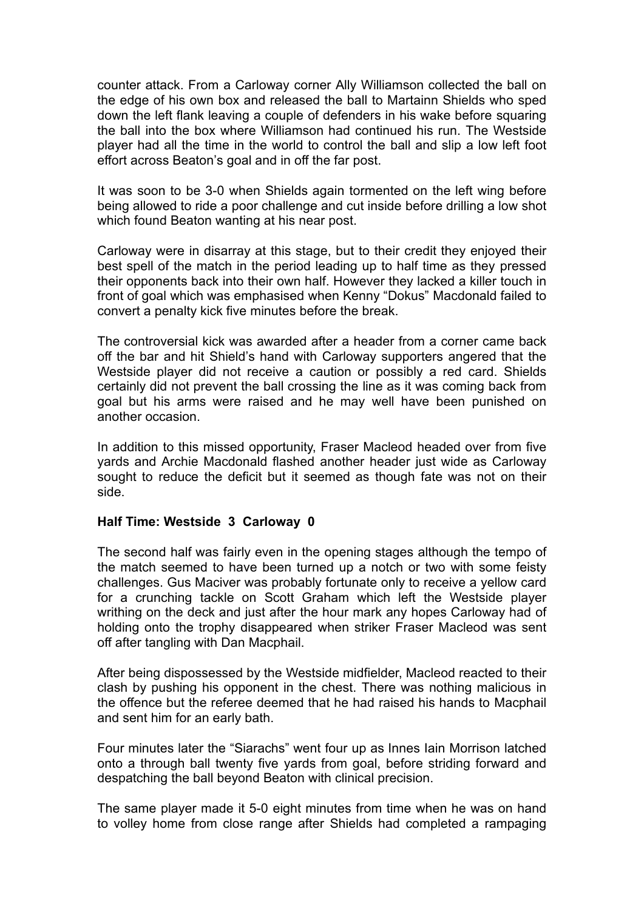counter attack. From a Carloway corner Ally Williamson collected the ball on the edge of his own box and released the ball to Martainn Shields who sped down the left flank leaving a couple of defenders in his wake before squaring the ball into the box where Williamson had continued his run. The Westside player had all the time in the world to control the ball and slip a low left foot effort across Beaton's goal and in off the far post.

It was soon to be 3-0 when Shields again tormented on the left wing before being allowed to ride a poor challenge and cut inside before drilling a low shot which found Beaton wanting at his near post.

Carloway were in disarray at this stage, but to their credit they enjoyed their best spell of the match in the period leading up to half time as they pressed their opponents back into their own half. However they lacked a killer touch in front of goal which was emphasised when Kenny "Dokus" Macdonald failed to convert a penalty kick five minutes before the break.

The controversial kick was awarded after a header from a corner came back off the bar and hit Shield's hand with Carloway supporters angered that the Westside player did not receive a caution or possibly a red card. Shields certainly did not prevent the ball crossing the line as it was coming back from goal but his arms were raised and he may well have been punished on another occasion.

In addition to this missed opportunity, Fraser Macleod headed over from five yards and Archie Macdonald flashed another header just wide as Carloway sought to reduce the deficit but it seemed as though fate was not on their side.

## **Half Time: Westside 3 Carloway 0**

The second half was fairly even in the opening stages although the tempo of the match seemed to have been turned up a notch or two with some feisty challenges. Gus Maciver was probably fortunate only to receive a yellow card for a crunching tackle on Scott Graham which left the Westside player writhing on the deck and just after the hour mark any hopes Carloway had of holding onto the trophy disappeared when striker Fraser Macleod was sent off after tangling with Dan Macphail.

After being dispossessed by the Westside midfielder, Macleod reacted to their clash by pushing his opponent in the chest. There was nothing malicious in the offence but the referee deemed that he had raised his hands to Macphail and sent him for an early bath.

Four minutes later the "Siarachs" went four up as Innes Iain Morrison latched onto a through ball twenty five yards from goal, before striding forward and despatching the ball beyond Beaton with clinical precision.

The same player made it 5-0 eight minutes from time when he was on hand to volley home from close range after Shields had completed a rampaging